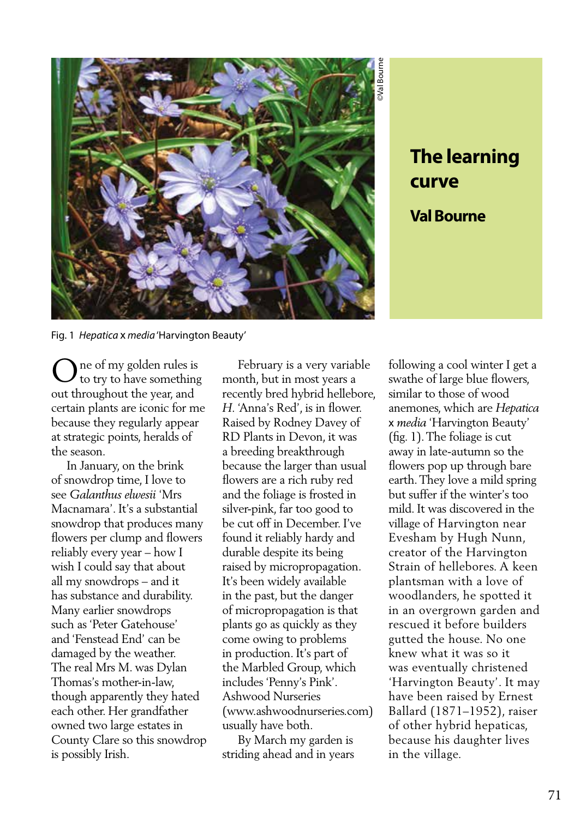

**The learning curve Val Bourne**

Fig. 1 *Hepatica* x *media* 'Harvington Beauty'

ne of my golden rules is to try to have something out throughout the year, and certain plants are iconic for me because they regularly appear at strategic points, heralds of the season. O

 In January, on the brink of snowdrop time, I love to see *Galanthus elwesii* 'Mrs Macnamara'. It's a substantial snowdrop that produces many flowers per clump and flowers reliably every year – how I wish I could say that about all my snowdrops – and it has substance and durability. Many earlier snowdrops such as 'Peter Gatehouse' and 'Fenstead End' can be damaged by the weather. The real Mrs M. was Dylan Thomas's mother-in-law, though apparently they hated each other. Her grandfather owned two large estates in County Clare so this snowdrop is possibly Irish.

 February is a very variable month, but in most years a recently bred hybrid hellebore, *H.* 'Anna's Red', is in flower. Raised by Rodney Davey of RD Plants in Devon, it was a breeding breakthrough because the larger than usual flowers are a rich ruby red and the foliage is frosted in silver-pink, far too good to be cut off in December. I've found it reliably hardy and durable despite its being raised by micropropagation. It's been widely available in the past, but the danger of micropropagation is that plants go as quickly as they come owing to problems in production. It's part of the Marbled Group, which includes 'Penny's Pink'. Ashwood Nurseries (www.ashwoodnurseries.com) usually have both.

 By March my garden is striding ahead and in years

following a cool winter I get a swathe of large blue flowers, similar to those of wood anemones, which are *Hepatica*  x *media* 'Harvington Beauty' (fig. 1). The foliage is cut away in late-autumn so the flowers pop up through bare earth. They love a mild spring but suffer if the winter's too mild. It was discovered in the village of Harvington near Evesham by Hugh Nunn, creator of the Harvington Strain of hellebores. A keen plantsman with a love of woodlanders, he spotted it in an overgrown garden and rescued it before builders gutted the house. No one knew what it was so it was eventually christened 'Harvington Beauty'. It may have been raised by Ernest Ballard (1871–1952), raiser of other hybrid hepaticas, because his daughter lives in the village.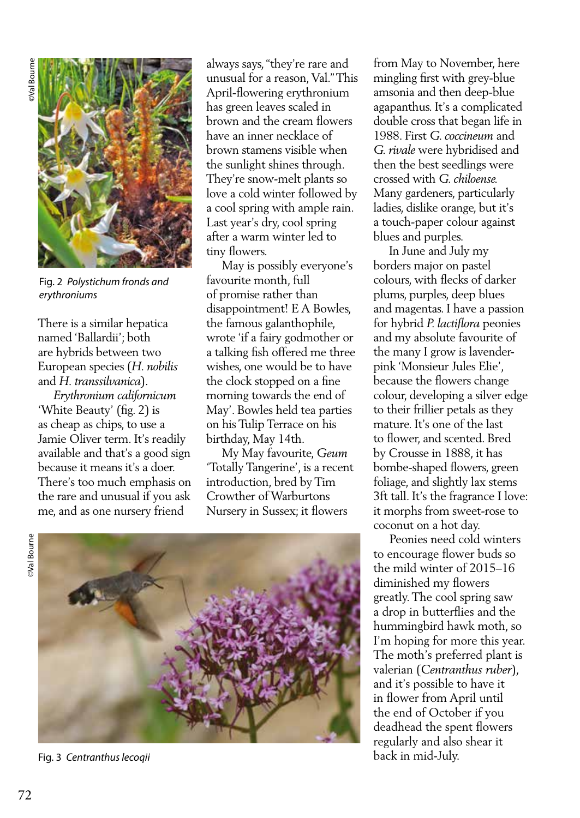

Fig. 2 *Polystichum fronds and erythroniums*

There is a similar hepatica named 'Ballardii'; both are hybrids between two European species (*H. nobilis* and *H. transsilvanica*).

 *Erythronium californicum*  'White Beauty' (fig. 2) is as cheap as chips, to use a Jamie Oliver term. It's readily available and that's a good sign because it means it's a doer. There's too much emphasis on the rare and unusual if you ask me, and as one nursery friend

always says, "they're rare and unusual for a reason, Val." This April-flowering erythronium has green leaves scaled in brown and the cream flowers have an inner necklace of brown stamens visible when the sunlight shines through. They're snow-melt plants so love a cold winter followed by a cool spring with ample rain. Last year's dry, cool spring after a warm winter led to tiny flowers.

 May is possibly everyone's favourite month, full of promise rather than disappointment! E A Bowles, the famous galanthophile, wrote 'if a fairy godmother or a talking fish offered me three wishes, one would be to have the clock stopped on a fine morning towards the end of May'. Bowles held tea parties on his Tulip Terrace on his birthday, May 14th.

 My May favourite, *Geum* 'Totally Tangerine', is a recent introduction, bred by Tim Crowther of Warburtons Nursery in Sussex; it flowers

**DVal Bourne** 



Fig. 3 *Centranthus lecoqii*

from May to November, here mingling first with grey-blue amsonia and then deep-blue agapanthus. It's a complicated double cross that began life in 1988. First *G. coccineum* and *G. rivale* were hybridised and then the best seedlings were crossed with *G. chiloense.*  Many gardeners, particularly ladies, dislike orange, but it's a touch-paper colour against blues and purples.

 In June and July my borders major on pastel colours, with flecks of darker plums, purples, deep blues and magentas. I have a passion for hybrid *P. lactiflora* peonies and my absolute favourite of the many I grow is lavenderpink 'Monsieur Jules Elie', because the flowers change colour, developing a silver edge to their frillier petals as they mature. It's one of the last to flower, and scented. Bred by Crousse in 1888, it has bombe-shaped flowers, green foliage, and slightly lax stems 3ft tall. It's the fragrance I love: it morphs from sweet-rose to coconut on a hot day.

 Peonies need cold winters to encourage flower buds so the mild winter of 2015–16 diminished my flowers greatly. The cool spring saw a drop in butterflies and the hummingbird hawk moth, so I'm hoping for more this year. The moth's preferred plant is valerian (*Centranthus ruber*), and it's possible to have it in flower from April until the end of October if you deadhead the spent flowers regularly and also shear it back in mid-July.